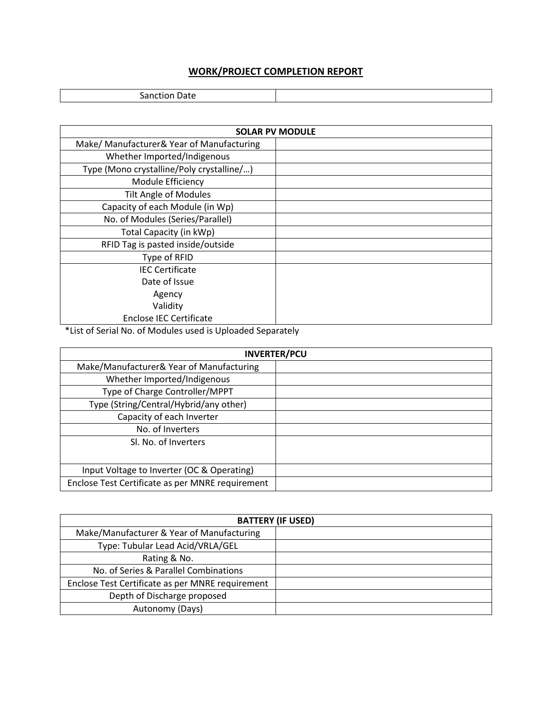## **WORK/PROJECT COMPLETION REPORT**

Sanction Date

| <b>SOLAR PV MODULE</b>                    |  |
|-------------------------------------------|--|
| Make/Manufacturer& Year of Manufacturing  |  |
| Whether Imported/Indigenous               |  |
| Type (Mono crystalline/Poly crystalline/) |  |
| Module Efficiency                         |  |
| <b>Tilt Angle of Modules</b>              |  |
| Capacity of each Module (in Wp)           |  |
| No. of Modules (Series/Parallel)          |  |
| Total Capacity (in kWp)                   |  |
| RFID Tag is pasted inside/outside         |  |
| Type of RFID                              |  |
| <b>IEC Certificate</b>                    |  |
| Date of Issue                             |  |
| Agency                                    |  |
| Validity                                  |  |
| <b>Enclose IEC Certificate</b>            |  |

\*List of Serial No. of Modules used is Uploaded Separately

| <b>INVERTER/PCU</b>                              |  |
|--------------------------------------------------|--|
| Make/Manufacturer& Year of Manufacturing         |  |
| Whether Imported/Indigenous                      |  |
| Type of Charge Controller/MPPT                   |  |
| Type (String/Central/Hybrid/any other)           |  |
| Capacity of each Inverter                        |  |
| No. of Inverters                                 |  |
| Sl. No. of Inverters                             |  |
|                                                  |  |
| Input Voltage to Inverter (OC & Operating)       |  |
| Enclose Test Certificate as per MNRE requirement |  |

| <b>BATTERY (IF USED)</b>                         |  |
|--------------------------------------------------|--|
| Make/Manufacturer & Year of Manufacturing        |  |
| Type: Tubular Lead Acid/VRLA/GEL                 |  |
| Rating & No.                                     |  |
| No. of Series & Parallel Combinations            |  |
| Enclose Test Certificate as per MNRE requirement |  |
| Depth of Discharge proposed                      |  |
| Autonomy (Days)                                  |  |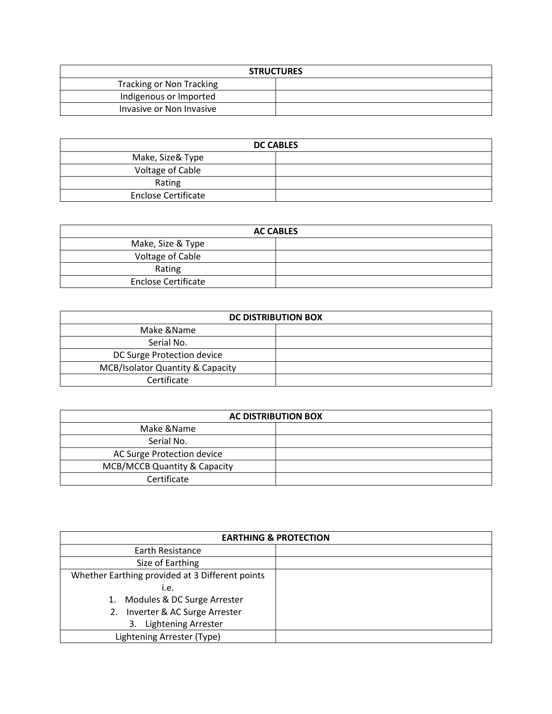| <b>STRUCTURES</b>               |  |
|---------------------------------|--|
| <b>Tracking or Non Tracking</b> |  |
| Indigenous or Imported          |  |
| Invasive or Non Invasive        |  |

| <b>DC CABLES</b>           |  |
|----------------------------|--|
| Make, Size& Type           |  |
| Voltage of Cable           |  |
| Rating                     |  |
| <b>Enclose Certificate</b> |  |

| <b>AC CABLES</b>           |  |
|----------------------------|--|
| Make, Size & Type          |  |
| Voltage of Cable           |  |
| Rating                     |  |
| <b>Enclose Certificate</b> |  |

| <b>DC DISTRIBUTION BOX</b>                  |  |
|---------------------------------------------|--|
| Make &Name                                  |  |
| Serial No.                                  |  |
| DC Surge Protection device                  |  |
| <b>MCB/Isolator Quantity &amp; Capacity</b> |  |
| Certificate                                 |  |

| <b>AC DISTRIBUTION BOX</b>   |  |
|------------------------------|--|
| Make &Name                   |  |
| Serial No.                   |  |
| AC Surge Protection device   |  |
| MCB/MCCB Quantity & Capacity |  |
| Certificate                  |  |

| <b>EARTHING &amp; PROTECTION</b>                |  |
|-------------------------------------------------|--|
| Earth Resistance                                |  |
| Size of Earthing                                |  |
| Whether Earthing provided at 3 Different points |  |
| i.e.                                            |  |
| 1. Modules & DC Surge Arrester                  |  |
| 2. Inverter & AC Surge Arrester                 |  |
| <b>Lightening Arrester</b><br>3.                |  |
| Lightening Arrester (Type)                      |  |